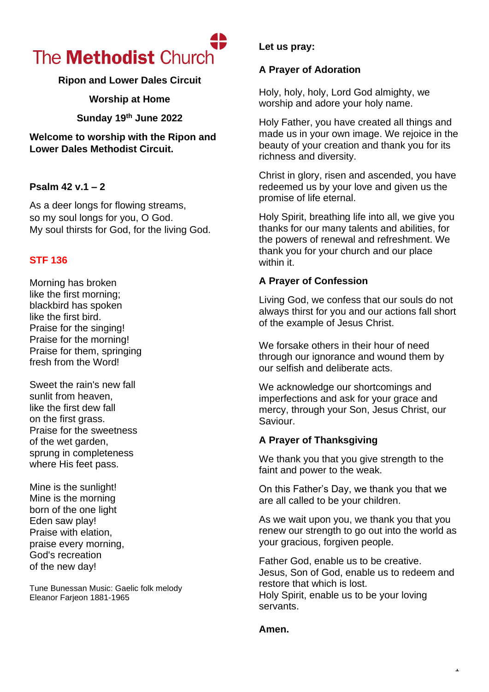

**Ripon and Lower Dales Circuit** 

**Worship at Home**

**Sunday 19th June 2022**

**Welcome to worship with the Ripon and Lower Dales Methodist Circuit.** 

# **Psalm 42 v.1 – 2**

As a deer longs for flowing streams, so my soul longs for you, O God. My soul thirsts for God, for the living God.

# **STF 136**

Morning has broken like the first morning; blackbird has spoken like the first bird. Praise for the singing! Praise for the morning! Praise for them, springing fresh from the Word!

Sweet the rain's new fall sunlit from heaven, like the first dew fall on the first grass. Praise for the sweetness of the wet garden, sprung in completeness where His feet pass.

Mine is the sunlight! Mine is the morning born of the one light Eden saw play! Praise with elation, praise every morning, God's recreation of the new day!

Tune Bunessan Music: Gaelic folk melody Eleanor Farjeon 1881-1965

# **Let us pray:**

### **A Prayer of Adoration**

Holy, holy, holy, Lord God almighty, we worship and adore your holy name.

Holy Father, you have created all things and made us in your own image. We rejoice in the beauty of your creation and thank you for its richness and diversity.

Christ in glory, risen and ascended, you have redeemed us by your love and given us the promise of life eternal.

Holy Spirit, breathing life into all, we give you thanks for our many talents and abilities, for the powers of renewal and refreshment. We thank you for your church and our place within it.

# **A Prayer of Confession**

Living God, we confess that our souls do not always thirst for you and our actions fall short of the example of Jesus Christ.

We forsake others in their hour of need through our ignorance and wound them by our selfish and deliberate acts.

We acknowledge our shortcomings and imperfections and ask for your grace and mercy, through your Son, Jesus Christ, our Saviour.

# **A Prayer of Thanksgiving**

We thank you that you give strength to the faint and power to the weak.

On this Father's Day, we thank you that we are all called to be your children.

As we wait upon you, we thank you that you renew our strength to go out into the world as your gracious, forgiven people.

Father God, enable us to be creative. Jesus, Son of God, enable us to redeem and restore that which is lost. Holy Spirit, enable us to be your loving servants.

#### **Amen.**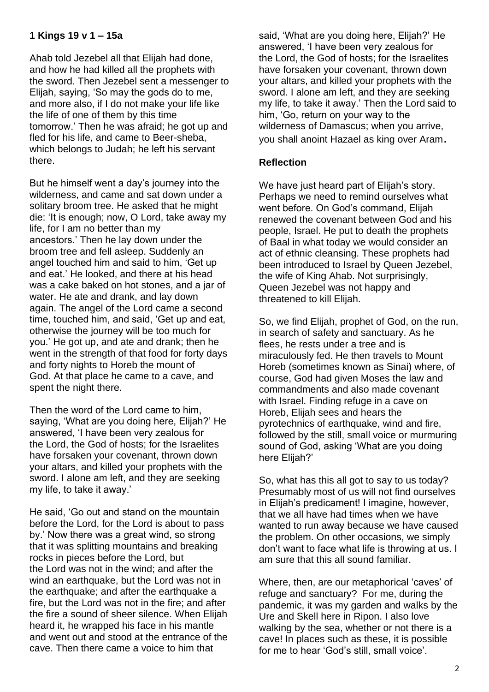# **1 Kings 19 v 1 – 15a**

Ahab told Jezebel all that Elijah had done, and how he had killed all the prophets with the sword. Then Jezebel sent a messenger to Elijah, saying, 'So may the gods do to me, and more also, if I do not make your life like the life of one of them by this time tomorrow.' Then he was afraid; he got up and fled for his life, and came to Beer-sheba, which belongs to Judah; he left his servant there.

But he himself went a day's journey into the wilderness, and came and sat down under a solitary broom tree. He asked that he might die: 'It is enough; now, O Lord, take away my life, for I am no better than my ancestors.' Then he lay down under the broom tree and fell asleep. Suddenly an angel touched him and said to him, 'Get up and eat.' He looked, and there at his head was a cake baked on hot stones, and a jar of water. He ate and drank, and lay down again. The angel of the Lord came a second time, touched him, and said, 'Get up and eat, otherwise the journey will be too much for you.' He got up, and ate and drank; then he went in the strength of that food for forty days and forty nights to Horeb the mount of God. At that place he came to a cave, and spent the night there.

Then the word of the Lord came to him, saying, 'What are you doing here, Elijah?' He answered, 'I have been very zealous for the Lord, the God of hosts; for the Israelites have forsaken your covenant, thrown down your altars, and killed your prophets with the sword. I alone am left, and they are seeking my life, to take it away.'

He said, 'Go out and stand on the mountain before the Lord, for the Lord is about to pass by.' Now there was a great wind, so strong that it was splitting mountains and breaking rocks in pieces before the Lord, but the Lord was not in the wind; and after the wind an earthquake, but the Lord was not in the earthquake; and after the earthquake a fire, but the Lord was not in the fire; and after the fire a sound of sheer silence. When Elijah heard it, he wrapped his face in his mantle and went out and stood at the entrance of the cave. Then there came a voice to him that

said, 'What are you doing here, Elijah?' He answered, 'I have been very zealous for the Lord, the God of hosts; for the Israelites have forsaken your covenant, thrown down your altars, and killed your prophets with the sword. I alone am left, and they are seeking my life, to take it away.' Then the Lord said to him, 'Go, return on your way to the wilderness of Damascus; when you arrive, you shall anoint Hazael as king over Aram.

### **Reflection**

We have just heard part of Elijah's story. Perhaps we need to remind ourselves what went before. On God's command, Elijah renewed the covenant between God and his people, Israel. He put to death the prophets of Baal in what today we would consider an act of ethnic cleansing. These prophets had been introduced to Israel by Queen Jezebel, the wife of King Ahab. Not surprisingly, Queen Jezebel was not happy and threatened to kill Elijah.

So, we find Elijah, prophet of God, on the run, in search of safety and sanctuary. As he flees, he rests under a tree and is miraculously fed. He then travels to Mount Horeb (sometimes known as Sinai) where, of course, God had given Moses the law and commandments and also made covenant with Israel. Finding refuge in a cave on Horeb, Elijah sees and hears the pyrotechnics of earthquake, wind and fire, followed by the still, small voice or murmuring sound of God, asking 'What are you doing here Elijah?'

So, what has this all got to say to us today? Presumably most of us will not find ourselves in Elijah's predicament! I imagine, however, that we all have had times when we have wanted to run away because we have caused the problem. On other occasions, we simply don't want to face what life is throwing at us. I am sure that this all sound familiar.

Where, then, are our metaphorical 'caves' of refuge and sanctuary? For me, during the pandemic, it was my garden and walks by the Ure and Skell here in Ripon. I also love walking by the sea, whether or not there is a cave! In places such as these, it is possible for me to hear 'God's still, small voice'.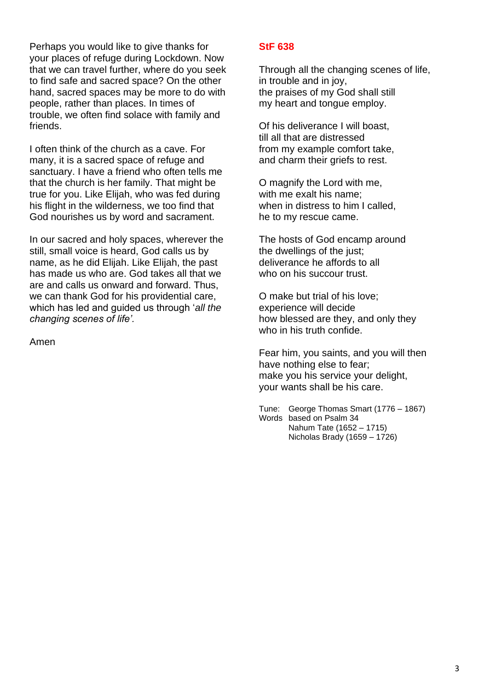Perhaps you would like to give thanks for your places of refuge during Lockdown. Now that we can travel further, where do you seek to find safe and sacred space? On the other hand, sacred spaces may be more to do with people, rather than places. In times of trouble, we often find solace with family and friends.

I often think of the church as a cave. For many, it is a sacred space of refuge and sanctuary. I have a friend who often tells me that the church is her family. That might be true for you. Like Elijah, who was fed during his flight in the wilderness, we too find that God nourishes us by word and sacrament.

In our sacred and holy spaces, wherever the still, small voice is heard, God calls us by name, as he did Elijah. Like Elijah, the past has made us who are. God takes all that we are and calls us onward and forward. Thus, we can thank God for his providential care, which has led and guided us through '*all the changing scenes of life'.*

Amen

# **StF 638**

Through all the changing scenes of life, in trouble and in joy, the praises of my God shall still my heart and tongue employ.

Of his deliverance I will boast, till all that are distressed from my example comfort take, and charm their griefs to rest.

O magnify the Lord with me, with me exalt his name; when in distress to him I called. he to my rescue came.

The hosts of God encamp around the dwellings of the just; deliverance he affords to all who on his succour trust.

O make but trial of his love; experience will decide how blessed are they, and only they who in his truth confide.

Fear him, you saints, and you will then have nothing else to fear; make you his service your delight, your wants shall be his care.

Tune: George Thomas Smart (1776 – 1867) Words based on Psalm 34 Nahum Tate (1652 – 1715) Nicholas Brady (1659 – 1726)